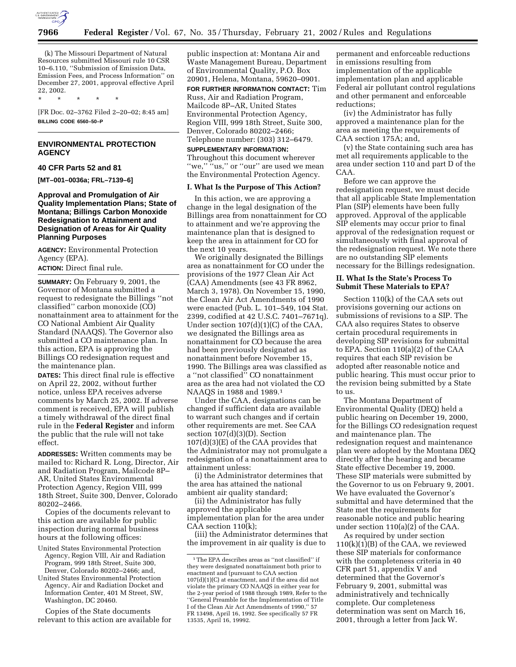

(k) The Missouri Department of Natural Resources submitted Missouri rule 10 CSR 10–6.110, ''Submission of Emission Data, Emission Fees, and Process Information'' on December 27, 2001, approval effective April 22, 2002.

\* \* \* \* \*

[FR Doc. 02–3762 Filed 2–20–02; 8:45 am] **BILLING CODE 6560–50–P**

# **ENVIRONMENTAL PROTECTION AGENCY**

### **40 CFR Parts 52 and 81**

**[MT–001–0036a; FRL–7139–6]**

# **Approval and Promulgation of Air Quality Implementation Plans; State of Montana; Billings Carbon Monoxide Redesignation to Attainment and Designation of Areas for Air Quality Planning Purposes**

**AGENCY:** Environmental Protection Agency (EPA).

**ACTION:** Direct final rule.

**SUMMARY:** On February 9, 2001, the Governor of Montana submitted a request to redesignate the Billings ''not classified'' carbon monoxide (CO) nonattainment area to attainment for the CO National Ambient Air Quality Standard (NAAQS). The Governor also submitted a CO maintenance plan. In this action, EPA is approving the Billings CO redesignation request and the maintenance plan.

**DATES:** This direct final rule is effective on April 22, 2002, without further notice, unless EPA receives adverse comments by March 25, 2002. If adverse comment is received, EPA will publish a timely withdrawal of the direct final rule in the **Federal Register** and inform the public that the rule will not take effect.

**ADDRESSES:** Written comments may be mailed to: Richard R. Long, Director, Air and Radiation Program, Mailcode 8P– AR, United States Environmental Protection Agency, Region VIII, 999 18th Street, Suite 300, Denver, Colorado 80202–2466.

Copies of the documents relevant to this action are available for public inspection during normal business hours at the following offices:

- United States Environmental Protection Agency, Region VIII, Air and Radiation Program, 999 18th Street, Suite 300, Denver, Colorado 80202–2466; and,
- United States Environmental Protection Agency, Air and Radiation Docket and Information Center, 401 M Street, SW, Washington, DC 20460.

Copies of the State documents relevant to this action are available for public inspection at: Montana Air and Waste Management Bureau, Department of Environmental Quality, P.O. Box 20901, Helena, Montana, 59620–0901.

**FOR FURTHER INFORMATION CONTACT:** Tim Russ, Air and Radiation Program, Mailcode 8P–AR, United States Environmental Protection Agency, Region VIII, 999 18th Street, Suite 300, Denver, Colorado 80202–2466; Telephone number: (303) 312–6479.

## **SUPPLEMENTARY INFORMATION:**

Throughout this document wherever "we," "us," or "our" are used we mean the Environmental Protection Agency.

#### **I. What Is the Purpose of This Action?**

In this action, we are approving a change in the legal designation of the Billings area from nonattainment for CO to attainment and we're approving the maintenance plan that is designed to keep the area in attainment for CO for the next 10 years.

We originally designated the Billings area as nonattainment for CO under the provisions of the 1977 Clean Air Act (CAA) Amendments (see 43 FR 8962, March 3, 1978). On November 15, 1990, the Clean Air Act Amendments of 1990 were enacted (Pub. L. 101–549, 104 Stat. 2399, codified at 42 U.S.C. 7401–7671q). Under section 107(d)(1)(C) of the CAA, we designated the Billings area as nonattainment for CO because the area had been previously designated as nonattainment before November 15, 1990. The Billings area was classified as a ''not classified'' CO nonattainment area as the area had not violated the CO NAAQS in 1988 and 1989.1

Under the CAA, designations can be changed if sufficient data are available to warrant such changes and if certain other requirements are met. See CAA section 107(d)(3)(D). Section 107(d)(3)(E) of the CAA provides that the Administrator may not promulgate a redesignation of a nonattainment area to attainment unless:

(i) the Administrator determines that the area has attained the national ambient air quality standard;

(ii) the Administrator has fully approved the applicable implementation plan for the area under CAA section 110(k);

(iii) the Administrator determines that the improvement in air quality is due to

permanent and enforceable reductions in emissions resulting from implementation of the applicable implementation plan and applicable Federal air pollutant control regulations and other permanent and enforceable reductions;

(iv) the Administrator has fully approved a maintenance plan for the area as meeting the requirements of CAA section 175A; and,

(v) the State containing such area has met all requirements applicable to the area under section 110 and part D of the CAA.

Before we can approve the redesignation request, we must decide that all applicable State Implementation Plan (SIP) elements have been fully approved. Approval of the applicable SIP elements may occur prior to final approval of the redesignation request or simultaneously with final approval of the redesignation request. We note there are no outstanding SIP elements necessary for the Billings redesignation.

## **II. What Is the State's Process To Submit These Materials to EPA?**

Section 110(k) of the CAA sets out provisions governing our actions on submissions of revisions to a SIP. The CAA also requires States to observe certain procedural requirements in developing SIP revisions for submittal to EPA. Section 110(a)(2) of the CAA requires that each SIP revision be adopted after reasonable notice and public hearing. This must occur prior to the revision being submitted by a State to us.

The Montana Department of Environmental Quality (DEQ) held a public hearing on December 19, 2000, for the Billings CO redesignation request and maintenance plan. The redesignation request and maintenance plan were adopted by the Montana DEQ directly after the hearing and became State effective December 19, 2000. These SIP materials were submitted by the Governor to us on February 9, 2001. We have evaluated the Governor's submittal and have determined that the State met the requirements for reasonable notice and public hearing under section 110(a)(2) of the CAA.

As required by under section 110(k)(1)(B) of the CAA, we reviewed these SIP materials for conformance with the completeness criteria in 40 CFR part 51, appendix V and determined that the Governor's February 9, 2001, submittal was administratively and technically complete. Our completeness determination was sent on March 16, 2001, through a letter from Jack W.

 $^{\rm 1}\rm{The}$  EPA describes areas as ''not classified'' if they were designated nonattainment both prior to enactment and (pursuant to CAA section 107(d)(1)(C) at enactment, and if the area did not violate the primary CO NAAQS in either year for the 2-year period of 1988 through 1989, Refer to the ''General Preamble for the Implementation of Title I of the Clean Air Act Amendments of 1990,'' 57 FR 13498, April 16, 1992. See specifically 57 FR 13535, April 16, 19992.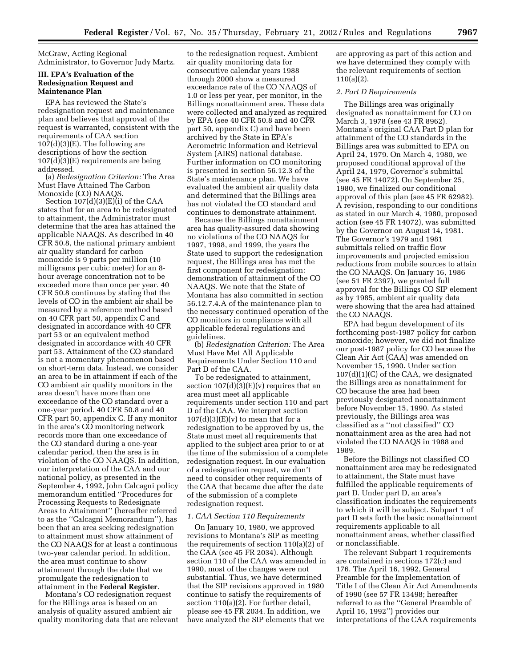McGraw, Acting Regional Administrator, to Governor Judy Martz.

## **III. EPA's Evaluation of the Redesignation Request and Maintenance Plan**

EPA has reviewed the State's redesignation request and maintenance plan and believes that approval of the request is warranted, consistent with the requirements of CAA section  $107(d)(3)(E)$ . The following are descriptions of how the section 107(d)(3)(E) requirements are being addressed.

(a) *Redesignation Criterion:* The Area Must Have Attained The Carbon Monoxide (CO) NAAQS.

Section 107(d)(3)(E)(i) of the CAA states that for an area to be redesignated to attainment, the Administrator must determine that the area has attained the applicable NAAQS. As described in 40 CFR 50.8, the national primary ambient air quality standard for carbon monoxide is 9 parts per million (10 milligrams per cubic meter) for an 8 hour average concentration not to be exceeded more than once per year. 40 CFR 50.8 continues by stating that the levels of CO in the ambient air shall be measured by a reference method based on 40 CFR part 50, appendix C and designated in accordance with 40 CFR part 53 or an equivalent method designated in accordance with 40 CFR part 53. Attainment of the CO standard is not a momentary phenomenon based on short-term data. Instead, we consider an area to be in attainment if each of the CO ambient air quality monitors in the area doesn't have more than one exceedance of the CO standard over a one-year period. 40 CFR 50.8 and 40 CFR part 50, appendix C. If any monitor in the area's CO monitoring network records more than one exceedance of the CO standard during a one-year calendar period, then the area is in violation of the CO NAAQS. In addition, our interpretation of the CAA and our national policy, as presented in the September 4, 1992, John Calcagni policy memorandum entitled ''Procedures for Processing Requests to Redesignate Areas to Attainment'' (hereafter referred to as the ''Calcagni Memorandum''), has been that an area seeking redesignation to attainment must show attainment of the CO NAAQS for at least a continuous two-year calendar period. In addition, the area must continue to show attainment through the date that we promulgate the redesignation to attainment in the **Federal Register**.

Montana's CO redesignation request for the Billings area is based on an analysis of quality assured ambient air quality monitoring data that are relevant

to the redesignation request. Ambient air quality monitoring data for consecutive calendar years 1988 through 2000 show a measured exceedance rate of the CO NAAQS of 1.0 or less per year, per monitor, in the Billings nonattainment area. These data were collected and analyzed as required by EPA (see 40 CFR 50.8 and 40 CFR part 50, appendix C) and have been archived by the State in EPA's Aerometric Information and Retrieval System (AIRS) national database. Further information on CO monitoring is presented in section 56.12.3 of the State's maintenance plan. We have evaluated the ambient air quality data and determined that the Billings area has not violated the CO standard and continues to demonstrate attainment.

Because the Billings nonattainment area has quality-assured data showing no violations of the CO NAAQS for 1997, 1998, and 1999, the years the State used to support the redesignation request, the Billings area has met the first component for redesignation: demonstration of attainment of the CO NAAQS. We note that the State of Montana has also committed in section 56.12.7.4.A of the maintenance plan to the necessary continued operation of the CO monitors in compliance with all applicable federal regulations and guidelines.

(b) *Redesignation Criterion:* The Area Must Have Met All Applicable Requirements Under Section 110 and Part D of the CAA.

To be redesignated to attainment, section  $107(d)(3)(E)(v)$  requires that an area must meet all applicable requirements under section 110 and part D of the CAA. We interpret section  $107(d)(3)(E)(v)$  to mean that for a redesignation to be approved by us, the State must meet all requirements that applied to the subject area prior to or at the time of the submission of a complete redesignation request. In our evaluation of a redesignation request, we don't need to consider other requirements of the CAA that became due after the date of the submission of a complete redesignation request.

#### *1. CAA Section 110 Requirements*

On January 10, 1980, we approved revisions to Montana's SIP as meeting the requirements of section 110(a)(2) of the CAA (see 45 FR 2034). Although section 110 of the CAA was amended in 1990, most of the changes were not substantial. Thus, we have determined that the SIP revisions approved in 1980 continue to satisfy the requirements of section 110(a)(2). For further detail, please see 45 FR 2034. In addition, we have analyzed the SIP elements that we

are approving as part of this action and we have determined they comply with the relevant requirements of section 110(a)(2).

## *2. Part D Requirements*

The Billings area was originally designated as nonattainment for CO on March 3, 1978 (see 43 FR 8962). Montana's original CAA Part D plan for attainment of the CO standards in the Billings area was submitted to EPA on April 24, 1979. On March 4, 1980, we proposed conditional approval of the April 24, 1979, Governor's submittal (see 45 FR 14072). On September 25, 1980, we finalized our conditional approval of this plan (see 45 FR 62982). A revision, responding to our conditions as stated in our March 4, 1980, proposed action (see 45 FR 14072), was submitted by the Governor on August 14, 1981. The Governor's 1979 and 1981 submittals relied on traffic flow improvements and projected emission reductions from mobile sources to attain the CO NAAQS. On January 16, 1986 (see 51 FR 2397), we granted full approval for the Billings CO SIP element as by 1985, ambient air quality data were showing that the area had attained the CO NAAQS.

EPA had begun development of its forthcoming post-1987 policy for carbon monoxide; however, we did not finalize our post-1987 policy for CO because the Clean Air Act (CAA) was amended on November 15, 1990. Under section 107(d)(1)(C) of the CAA, we designated the Billings area as nonattainment for CO because the area had been previously designated nonattainment before November 15, 1990. As stated previously, the Billings area was classified as a ''not classified'' CO nonattainment area as the area had not violated the CO NAAQS in 1988 and 1989.

Before the Billings not classified CO nonattainment area may be redesignated to attainment, the State must have fulfilled the applicable requirements of part D. Under part D, an area's classification indicates the requirements to which it will be subject. Subpart 1 of part D sets forth the basic nonattainment requirements applicable to all nonattainment areas, whether classified or nonclassifiable.

The relevant Subpart 1 requirements are contained in sections 172(c) and 176. The April 16, 1992, General Preamble for the Implementation of Title I of the Clean Air Act Amendments of 1990 (see 57 FR 13498; hereafter referred to as the ''General Preamble of April 16, 1992'') provides our interpretations of the CAA requirements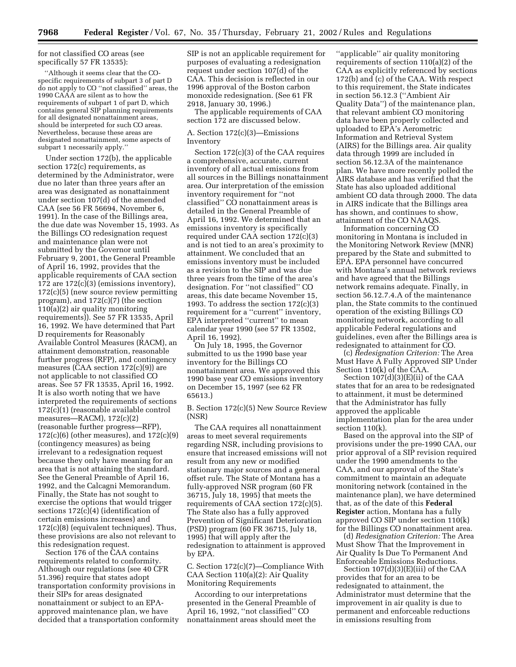for not classified CO areas (see specifically 57 FR 13535):

''Although it seems clear that the COspecific requirements of subpart 3 of part D do not apply to CO ''not classified'' areas, the 1990 CAAA are silent as to how the requirements of subpart 1 of part D, which contains general SIP planning requirements for all designated nonattainment areas, should be interpreted for such CO areas. Nevertheless, because these areas are designated nonattainment, some aspects of subpart 1 necessarily apply.''

Under section 172(b), the applicable section 172(c) requirements, as determined by the Administrator, were due no later than three years after an area was designated as nonattainment under section 107(d) of the amended CAA (see 56 FR 56694, November 6, 1991). In the case of the Billings area, the due date was November 15, 1993. As the Billings CO redesignation request and maintenance plan were not submitted by the Governor until February 9, 2001, the General Preamble of April 16, 1992, provides that the applicable requirements of CAA section 172 are 172(c)(3) (emissions inventory), 172(c)(5) (new source review permitting program), and 172(c)(7) (the section 110(a)(2) air quality monitoring requirements)). See 57 FR 13535, April 16, 1992. We have determined that Part D requirements for Reasonably Available Control Measures (RACM), an attainment demonstration, reasonable further progress (RFP), and contingency measures (CAA section 172(c)(9)) are not applicable to not classified CO areas. See 57 FR 13535, April 16, 1992. It is also worth noting that we have interpreted the requirements of sections 172(c)(1) (reasonable available control measures—RACM), 172(c)(2) (reasonable further progress—RFP),  $172(c)(6)$  (other measures), and  $172(c)(9)$ (contingency measures) as being irrelevant to a redesignation request because they only have meaning for an area that is not attaining the standard. See the General Preamble of April 16, 1992, and the Calcagni Memorandum. Finally, the State has not sought to exercise the options that would trigger sections 172(c)(4) (identification of certain emissions increases) and 172(c)(8) (equivalent techniques). Thus, these provisions are also not relevant to this redesignation request.

Section 176 of the CAA contains requirements related to conformity. Although our regulations (see 40 CFR 51.396) require that states adopt transportation conformity provisions in their SIPs for areas designated nonattainment or subject to an EPAapproved maintenance plan, we have decided that a transportation conformity

SIP is not an applicable requirement for purposes of evaluating a redesignation request under section 107(d) of the CAA. This decision is reflected in our 1996 approval of the Boston carbon monoxide redesignation. (See 61 FR 2918, January 30, 1996.)

The applicable requirements of CAA section 172 are discussed below.

# A. Section 172(c)(3)—Emissions Inventory

Section 172(c)(3) of the CAA requires a comprehensive, accurate, current inventory of all actual emissions from all sources in the Billings nonattainment area. Our interpretation of the emission inventory requirement for ''not classified'' CO nonattainment areas is detailed in the General Preamble of April 16, 1992. We determined that an emissions inventory is specifically required under CAA section 172(c)(3) and is not tied to an area's proximity to attainment. We concluded that an emissions inventory must be included as a revision to the SIP and was due three years from the time of the area's designation. For ''not classified'' CO areas, this date became November 15, 1993. To address the section  $172(c)(3)$ requirement for a ''current'' inventory, EPA interpreted ''current'' to mean calendar year 1990 (see 57 FR 13502, April 16, 1992).

On July 18, 1995, the Governor submitted to us the 1990 base year inventory for the Billings CO nonattainment area. We approved this 1990 base year CO emissions inventory on December 15, 1997 (see 62 FR 65613.)

B. Section 172(c)(5) New Source Review (NSR)

The CAA requires all nonattainment areas to meet several requirements regarding NSR, including provisions to ensure that increased emissions will not result from any new or modified stationary major sources and a general offset rule. The State of Montana has a fully-approved NSR program (60 FR 36715, July 18, 1995) that meets the requirements of CAA section 172(c)(5). The State also has a fully approved Prevention of Significant Deterioration (PSD) program (60 FR 36715, July 18, 1995) that will apply after the redesignation to attainment is approved by EPA.

C. Section 172(c)(7)—Compliance With CAA Section 110(a)(2): Air Quality Monitoring Requirements

According to our interpretations presented in the General Preamble of April 16, 1992, ''not classified'' CO nonattainment areas should meet the

''applicable'' air quality monitoring requirements of section 110(a)(2) of the CAA as explicitly referenced by sections 172(b) and (c) of the CAA. With respect to this requirement, the State indicates in section 56.12.3 (''Ambient Air Quality Data'') of the maintenance plan, that relevant ambient CO monitoring data have been properly collected and uploaded to EPA's Aerometric Information and Retrieval System (AIRS) for the Billings area. Air quality data through 1999 are included in section 56.12.3A of the maintenance plan. We have more recently polled the AIRS database and has verified that the State has also uploaded additional ambient CO data through 2000. The data in AIRS indicate that the Billings area has shown, and continues to show, attainment of the CO NAAQS.

Information concerning CO monitoring in Montana is included in the Monitoring Network Review (MNR) prepared by the State and submitted to EPA. EPA personnel have concurred with Montana's annual network reviews and have agreed that the Billings network remains adequate. Finally, in section 56.12.7.4.A of the maintenance plan, the State commits to the continued operation of the existing Billings CO monitoring network, according to all applicable Federal regulations and guidelines, even after the Billings area is redesignated to attainment for CO.

(c) *Redesignation Criterion:* The Area Must Have A Fully Approved SIP Under Section 110(k) of the CAA.

Section 107(d)(3)(E)(ii) of the CAA states that for an area to be redesignated to attainment, it must be determined that the Administrator has fully approved the applicable implementation plan for the area under section 110(k).

Based on the approval into the SIP of provisions under the pre-1990 CAA, our prior approval of a SIP revision required under the 1990 amendments to the CAA, and our approval of the State's commitment to maintain an adequate monitoring network (contained in the maintenance plan), we have determined that, as of the date of this **Federal Register** action, Montana has a fully approved CO SIP under section 110(k) for the Billings CO nonattainment area.

(d) *Redesignation Criterion:* The Area Must Show That the Improvement in Air Quality Is Due To Permanent And Enforceable Emissions Reductions.

Section 107(d)(3)(E)(iii) of the CAA provides that for an area to be redesignated to attainment, the Administrator must determine that the improvement in air quality is due to permanent and enforceable reductions in emissions resulting from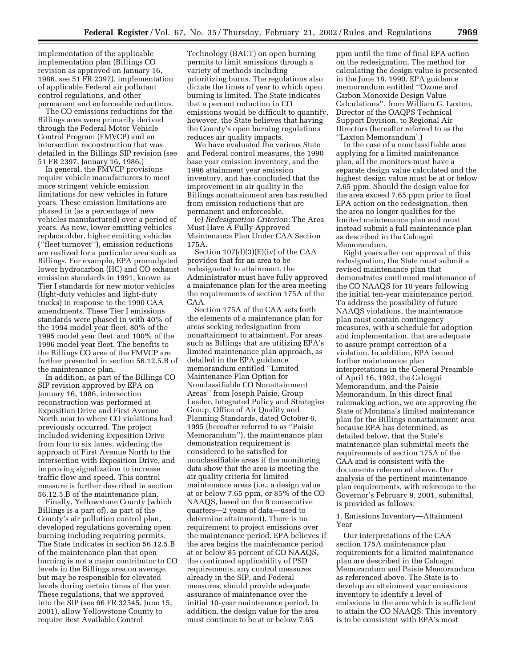implementation of the applicable implementation plan (Billings CO revision as approved on January 16, 1986, see 51 FR 2397), implementation of applicable Federal air pollutant control regulations, and other permanent and enforceable reductions.

The CO emissions reductions for the Billings area were primarily derived through the Federal Motor Vehicle Control Program (FMVCP) and an intersection reconstruction that was detailed in the Billings SIP revision (see 51 FR 2397, January 16, 1986.)

In general, the FMVCP provisions require vehicle manufacturers to meet more stringent vehicle emission limitations for new vehicles in future years. These emission limitations are phased in (as a percentage of new vehicles manufactured) over a period of years. As new, lower emitting vehicles replace older, higher emitting vehicles (''fleet turnover''), emission reductions are realized for a particular area such as Billings. For example, EPA promulgated lower hydrocarbon (HC) and CO exhaust emission standards in 1991, known as Tier I standards for new motor vehicles (light-duty vehicles and light-duty trucks) in response to the 1990 CAA amendments. These Tier I emissions standards were phased in with 40% of the 1994 model year fleet, 80% of the 1995 model year fleet, and 100% of the 1996 model year fleet. The benefits to the Billings CO area of the FMVCP are further presented in section 56.12.5.B of the maintenance plan.

In addition, as part of the Billings CO SIP revision approved by EPA on January 16, 1986, intersection reconstruction was performed at Exposition Drive and First Avenue North near to where CO violations had previously occurred. The project included widening Exposition Drive from four to six lanes, widening the approach of First Avenue North to the intersection with Exposition Drive, and improving signalization to increase traffic flow and speed. This control measure is further described in section 56.12.5.B of the maintenance plan.

Finally, Yellowstone County (which Billings is a part of), as part of the County's air pollution control plan, developed regulations governing open burning including requiring permits. The State indicates in section 56.12.5.B of the maintenance plan that open burning is not a major contributor to CO levels in the Billings area on average, but may be responsible for elevated levels during certain times of the year. These regulations, that we approved into the SIP (see 66 FR 32545, June 15, 2001), allow Yellowstone County to require Best Available Control

Technology (BACT) on open burning permits to limit emissions through a variety of methods including prioritizing burns. The regulations also dictate the times of year to which open burning is limited. The State indicates that a percent reduction in CO emissions would be difficult to quantify, however, the State believes that having the County's open burning regulations reduces air quality impacts.

We have evaluated the various State and Federal control measures, the 1990 base year emission inventory, and the 1996 attainment year emission inventory, and has concluded that the improvement in air quality in the Billings nonattainment area has resulted from emission reductions that are permanent and enforceable.

(e) *Redesignation Criterion:* The Area Must Have A Fully Approved Maintenance Plan Under CAA Section 175A.

Section 107(d)(3)(E)(iv) of the CAA provides that for an area to be redesignated to attainment, the Administrator must have fully approved a maintenance plan for the area meeting the requirements of section 175A of the CAA.

Section 175A of the CAA sets forth the elements of a maintenance plan for areas seeking redesignation from nonattainment to attainment. For areas such as Billings that are utilizing EPA's limited maintenance plan approach, as detailed in the EPA guidance memorandum entitled ''Limited Maintenance Plan Option for Nonclassifiable CO Nonattainment Areas'' from Joseph Paisie, Group Leader, Integrated Policy and Strategies Group, Office of Air Quality and Planning Standards, dated October 6, 1995 (hereafter referred to as ''Paisie Memorandum''), the maintenance plan demonstration requirement is considered to be satisfied for nonclassifiable areas if the monitoring data show that the area is meeting the air quality criteria for limited maintenance areas (i.e., a design value at or below 7.65 ppm, or 85% of the CO NAAQS, based on the 8 consecutive quarters—2 years of data—used to determine attainment). There is no requirement to project emissions over the maintenance period. EPA believes if the area begins the maintenance period at or below 85 percent of CO NAAQS, the continued applicability of PSD requirements, any control measures already in the SIP, and Federal measures, should provide adequate assurance of maintenance over the initial 10-year maintenance period. In addition, the design value for the area must continue to be at or below 7.65

ppm until the time of final EPA action on the redesignation. The method for calculating the design value is presented in the June 18, 1990, EPA guidance memorandum entitled ''Ozone and Carbon Monoxide Design Value Calculations'', from William G. Laxton, Director of the OAQPS Technical Support Division, to Regional Air Directors (hereafter referred to as the ''Laxton Memorandum'.)

In the case of a nonclassifiable area applying for a limited maintenance plan, all the monitors must have a separate design value calculated and the highest design value must be at or below 7.65 ppm. Should the design value for the area exceed 7.65 ppm prior to final EPA action on the redesignation, then the area no longer qualifies for the limited maintenance plan and must instead submit a full maintenance plan as described in the Calcagni Memorandum.

Eight years after our approval of this redesignation, the State must submit a revised maintenance plan that demonstrates continued maintenance of the CO NAAQS for 10 years following the initial ten-year maintenance period. To address the possibility of future NAAQS violations, the maintenance plan must contain contingency measures, with a schedule for adoption and implementation, that are adequate to assure prompt correction of a violation. In addition, EPA issued further maintenance plan interpretations in the General Preamble of April 16, 1992, the Calcagni Memorandum, and the Paisie Memorandum. In this direct final rulemaking action, we are approving the State of Montana's limited maintenance plan for the Billings nonattainment area because EPA has determined, as detailed below, that the State's maintenance plan submittal meets the requirements of section 175A of the CAA and is consistent with the documents referenced above. Our analysis of the pertinent maintenance plan requirements, with reference to the Governor's February 9, 2001, submittal, is provided as follows:

# 1. Emissions Inventory—Attainment Year

Our interpretations of the CAA section 175A maintenance plan requirements for a limited maintenance plan are described in the Calcagni Memorandum and Paisie Memorandum as referenced above. The State is to develop an attainment year emissions inventory to identify a level of emissions in the area which is sufficient to attain the CO NAAQS. This inventory is to be consistent with EPA's most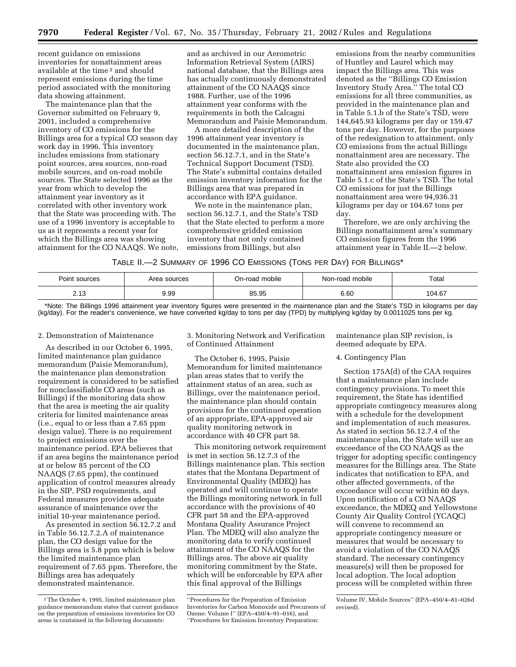recent guidance on emissions inventories for nonattainment areas available at the time 2 and should represent emissions during the time period associated with the monitoring data showing attainment.

The maintenance plan that the Governor submitted on February 9, 2001, included a comprehensive inventory of CO emissions for the Billings area for a typical CO season day work day in 1996. This inventory includes emissions from stationary point sources, area sources, non-road mobile sources, and on-road mobile sources. The State selected 1996 as the year from which to develop the attainment year inventory as it correlated with other inventory work that the State was proceeding with. The use of a 1996 inventory is acceptable to us as it represents a recent year for which the Billings area was showing attainment for the CO NAAQS. We note,

and as archived in our Aerometric Information Retrieval System (AIRS) national database, that the Billings area has actually continuously demonstrated attainment of the CO NAAQS since 1988. Further, use of the 1996 attainment year conforms with the requirements in both the Calcagni Memorandum and Paisie Memorandum.

A more detailed description of the 1996 attainment year inventory is documented in the maintenance plan, section 56.12.7.1, and in the State's Technical Support Document (TSD). The State's submittal contains detailed emission inventory information for the Billings area that was prepared in accordance with EPA guidance.

We note in the maintenance plan, section 56.12.7.1, and the State's TSD that the State elected to perform a more comprehensive gridded emission inventory that not only contained emissions from Billings, but also

emissions from the nearby communities of Huntley and Laurel which may impact the Billings area. This was denoted as the ''Billings CO Emission Inventory Study Area.'' The total CO emissions for all three communities, as provided in the maintenance plan and in Table 5.1.b of the State's TSD, were 144,645.93 kilograms per day or 159.47 tons per day. However, for the purposes of the redesignation to attainment, only CO emissions from the actual Billings nonattainment area are necessary. The State also provided the CO nonattainment area emission figures in Table 5.1.c of the State's TSD. The total CO emissions for just the Billings nonattainment area were 94,936.31 kilograms per day or 104.67 tons per day.

Therefore, we are only archiving the Billings nonattainment area's summary CO emission figures from the 1996 attainment year in Table II.—2 below.

TABLE II.—2 SUMMARY OF 1996 CO EMISSIONS (TONS PER DAY) FOR BILLINGS\*

| Point sources                | Area sources | On-road mobile | Non-road mobile | Total  |
|------------------------------|--------------|----------------|-----------------|--------|
| ר ר<br>ن ا .∠                | 9.99         | 85.95          | 6.60            | 104.67 |
| .<br>_____<br>______<br>____ |              |                |                 |        |

\*Note: The Billings 1996 attainment year inventory figures were presented in the maintenance plan and the State's TSD in kilograms per day (kg/day). For the reader's convenience, we have converted kg/day to tons per day (TPD) by multiplying kg/day by 0.0011025 tons per kg.

#### 2. Demonstration of Maintenance

As described in our October 6, 1995, limited maintenance plan guidance memorandum (Paisie Memorandum), the maintenance plan demonstration requirement is considered to be satisfied for nonclassifiable CO areas (such as Billings) if the monitoring data show that the area is meeting the air quality criteria for limited maintenance areas (i.e., equal to or less than a 7.65 ppm design value). There is no requirement to project emissions over the maintenance period. EPA believes that if an area begins the maintenance period at or below 85 percent of the CO NAAQS (7.65 ppm), the continued application of control measures already in the SIP, PSD requirements, and Federal measures provides adequate assurance of maintenance over the initial 10-year maintenance period.

As presented in section 56.12.7.2 and in Table 56.12.7.2.A of maintenance plan, the CO design value for the Billings area is 5.8 ppm which is below the limited maintenance plan requirement of 7.65 ppm. Therefore, the Billings area has adequately demonstrated maintenance.

3. Monitoring Network and Verification of Continued Attainment

The October 6, 1995, Paisie Memorandum for limited maintenance plan areas states that to verify the attainment status of an area, such as Billings, over the maintenance period, the maintenance plan should contain provisions for the continued operation of an appropriate, EPA-approved air quality monitoring network in accordance with 40 CFR part 58.

This monitoring network requirement is met in section 56.12.7.3 of the Billings maintenance plan. This section states that the Montana Department of Environmental Quality (MDEQ) has operated and will continue to operate the Billings monitoring network in full accordance with the provisions of 40 CFR part 58 and the EPA-approved Montana Quality Assurance Project Plan. The MDEQ will also analyze the monitoring data to verify continued attainment of the CO NAAQS for the Billings area. The above air quality monitoring commitment by the State, which will be enforceable by EPA after this final approval of the Billings

maintenance plan SIP revision, is deemed adequate by EPA.

#### 4. Contingency Plan

Section 175A(d) of the CAA requires that a maintenance plan include contingency provisions. To meet this requirement, the State has identified appropriate contingency measures along with a schedule for the development and implementation of such measures. As stated in section 56.12.7.4 of the maintenance plan, the State will use an exceedance of the CO NAAQS as the trigger for adopting specific contingency measures for the Billings area. The State indicates that notification to EPA, and other affected governments, of the exceedance will occur within 60 days. Upon notification of a CO NAAQS exceedance, the MDEQ and Yellowstone County Air Quality Control (YCAQC) will convene to recommend an appropriate contingency measure or measures that would be necessary to avoid a violation of the CO NAAQS standard. The necessary contingency measure(s) will then be proposed for local adoption. The local adoption process will be completed within three

<sup>2</sup>The October 6, 1995, limited maintenance plan guidance memorandum states that current guidance on the preparation of emissions inventories for CO areas is contained in the following documents:

<sup>&#</sup>x27;'Procedures for the Preparation of Emission Inventories for Carbon Monoxide and Precursors of Ozone: Volume I'' (EPA–450/4–91–016), and ''Procedures for Emission Inventory Preparation:

Volume IV, Mobile Sources'' (EPA–450/4–81–026d revised).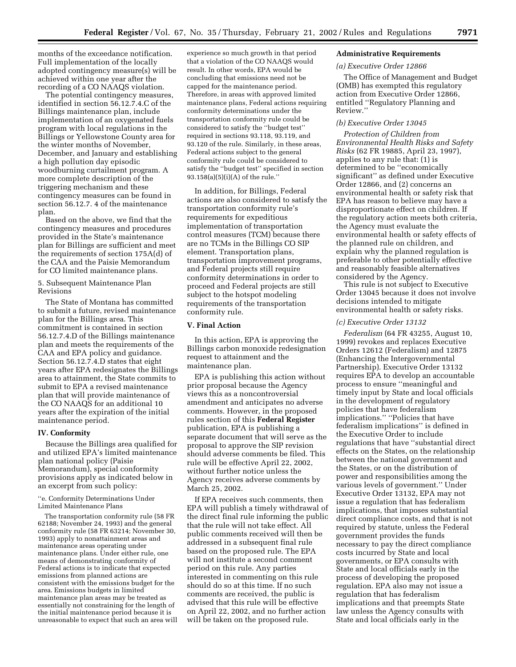months of the exceedance notification. Full implementation of the locally adopted contingency measure(s) will be achieved within one year after the recording of a CO NAAQS violation.

The potential contingency measures, identified in section 56.12.7.4.C of the Billings maintenance plan, include implementation of an oxygenated fuels program with local regulations in the Billings or Yellowstone County area for the winter months of November, December, and January and establishing a high pollution day episodic woodburning curtailment program. A more complete description of the triggering mechanism and these contingency measures can be found in section 56.12.7. 4 of the maintenance plan.

Based on the above, we find that the contingency measures and procedures provided in the State's maintenance plan for Billings are sufficient and meet the requirements of section 175A(d) of the CAA and the Paisie Memorandum for CO limited maintenance plans.

5. Subsequent Maintenance Plan Revisions

The State of Montana has committed to submit a future, revised maintenance plan for the Billings area. This commitment is contained in section 56.12.7.4.D of the Billings maintenance plan and meets the requirements of the CAA and EPA policy and guidance. Section 56.12.7.4.D states that eight years after EPA redesignates the Billings area to attainment, the State commits to submit to EPA a revised maintenance plan that will provide maintenance of the CO NAAQS for an additional 10 years after the expiration of the initial maintenance period.

#### **IV. Conformity**

Because the Billings area qualified for and utilized EPA's limited maintenance plan national policy (Paisie Memorandum), special conformity provisions apply as indicated below in an excerpt from such policy:

''e. Conformity Determinations Under Limited Maintenance Plans

The transportation conformity rule (58 FR 62188; November 24, 1993) and the general conformity rule (58 FR 63214; November 30, 1993) apply to nonattainment areas and maintenance areas operating under maintenance plans. Under either rule, one means of demonstrating conformity of Federal actions is to indicate that expected emissions from planned actions are consistent with the emissions budget for the area. Emissions budgets in limited maintenance plan areas may be treated as essentially not constraining for the length of the initial maintenance period because it is unreasonable to expect that such an area will

experience so much growth in that period that a violation of the CO NAAQS would result. In other words, EPA would be concluding that emissions need not be capped for the maintenance period. Therefore, in areas with approved limited maintenance plans, Federal actions requiring conformity determinations under the transportation conformity rule could be considered to satisfy the ''budget test'' required in sections 93.118, 93.119, and 93.120 of the rule. Similarly, in these areas, Federal actions subject to the general conformity rule could be considered to satisfy the ''budget test'' specified in section 93.158(a)(5)(i)(A) of the rule.''

In addition, for Billings, Federal actions are also considered to satisfy the transportation conformity rule's requirements for expeditious implementation of transportation control measures (TCM) because there are no TCMs in the Billings CO SIP element. Transportation plans, transportation improvement programs, and Federal projects still require conformity determinations in order to proceed and Federal projects are still subject to the hotspot modeling requirements of the transportation conformity rule.

## **V. Final Action**

In this action, EPA is approving the Billings carbon monoxide redesignation request to attainment and the maintenance plan.

EPA is publishing this action without prior proposal because the Agency views this as a noncontroversial amendment and anticipates no adverse comments. However, in the proposed rules section of this **Federal Register** publication, EPA is publishing a separate document that will serve as the proposal to approve the SIP revision should adverse comments be filed. This rule will be effective April 22, 2002, without further notice unless the Agency receives adverse comments by March 25, 2002.

If EPA receives such comments, then EPA will publish a timely withdrawal of the direct final rule informing the public that the rule will not take effect. All public comments received will then be addressed in a subsequent final rule based on the proposed rule. The EPA will not institute a second comment period on this rule. Any parties interested in commenting on this rule should do so at this time. If no such comments are received, the public is advised that this rule will be effective on April 22, 2002, and no further action will be taken on the proposed rule.

# **Administrative Requirements**

# *(a) Executive Order 12866*

The Office of Management and Budget (OMB) has exempted this regulatory action from Executive Order 12866, entitled ''Regulatory Planning and Review.''

# *(b) Executive Order 13045*

*Protection of Children from Environmental Health Risks and Safety Risks* (62 FR 19885, April 23, 1997), applies to any rule that: (1) is determined to be ''economically significant'' as defined under Executive Order 12866, and (2) concerns an environmental health or safety risk that EPA has reason to believe may have a disproportionate effect on children. If the regulatory action meets both criteria, the Agency must evaluate the environmental health or safety effects of the planned rule on children, and explain why the planned regulation is preferable to other potentially effective and reasonably feasible alternatives considered by the Agency.

This rule is not subject to Executive Order 13045 because it does not involve decisions intended to mitigate environmental health or safety risks.

### *(c) Executive Order 13132*

*Federalism* (64 FR 43255, August 10, 1999) revokes and replaces Executive Orders 12612 (Federalism) and 12875 (Enhancing the Intergovernmental Partnership). Executive Order 13132 requires EPA to develop an accountable process to ensure ''meaningful and timely input by State and local officials in the development of regulatory policies that have federalism implications.'' ''Policies that have federalism implications'' is defined in the Executive Order to include regulations that have ''substantial direct effects on the States, on the relationship between the national government and the States, or on the distribution of power and responsibilities among the various levels of government.'' Under Executive Order 13132, EPA may not issue a regulation that has federalism implications, that imposes substantial direct compliance costs, and that is not required by statute, unless the Federal government provides the funds necessary to pay the direct compliance costs incurred by State and local governments, or EPA consults with State and local officials early in the process of developing the proposed regulation. EPA also may not issue a regulation that has federalism implications and that preempts State law unless the Agency consults with State and local officials early in the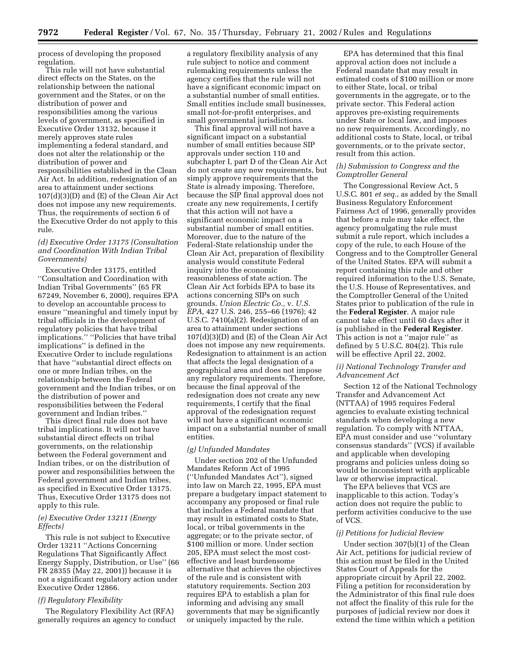process of developing the proposed regulation.

This rule will not have substantial direct effects on the States, on the relationship between the national government and the States, or on the distribution of power and responsibilities among the various levels of government, as specified in Executive Order 13132, because it merely approves state rules implementing a federal standard, and does not alter the relationship or the distribution of power and responsibilities established in the Clean Air Act. In addition, redesignation of an area to attainment under sections 107(d)(3)(D) and (E) of the Clean Air Act does not impose any new requirements. Thus, the requirements of section 6 of the Executive Order do not apply to this rule.

## *(d) Executive Order 13175 (Consultation and Coordination With Indian Tribal Governments)*

Executive Order 13175, entitled ''Consultation and Coordination with Indian Tribal Governments'' (65 FR 67249, November 6, 2000), requires EPA to develop an accountable process to ensure ''meaningful and timely input by tribal officials in the development of regulatory policies that have tribal implications.'' ''Policies that have tribal implications'' is defined in the Executive Order to include regulations that have ''substantial direct effects on one or more Indian tribes, on the relationship between the Federal government and the Indian tribes, or on the distribution of power and responsibilities between the Federal government and Indian tribes.''

This direct final rule does not have tribal implications. It will not have substantial direct effects on tribal governments, on the relationship between the Federal government and Indian tribes, or on the distribution of power and responsibilities between the Federal government and Indian tribes, as specified in Executive Order 13175. Thus, Executive Order 13175 does not apply to this rule.

## *(e) Executive Order 13211 (Energy Effects)*

This rule is not subject to Executive Order 13211 ''Actions Concerning Regulations That Significantly Affect Energy Supply, Distribution, or Use'' (66 FR 28355 (May 22, 2001)) because it is not a significant regulatory action under Executive Order 12866.

### *(f) Regulatory Flexibility*

The Regulatory Flexibility Act (RFA) generally requires an agency to conduct a regulatory flexibility analysis of any rule subject to notice and comment rulemaking requirements unless the agency certifies that the rule will not have a significant economic impact on a substantial number of small entities. Small entities include small businesses, small not-for-profit enterprises, and small governmental jurisdictions.

This final approval will not have a significant impact on a substantial number of small entities because SIP approvals under section 110 and subchapter I, part D of the Clean Air Act do not create any new requirements, but simply approve requirements that the State is already imposing. Therefore, because the SIP final approval does not create any new requirements, I certify that this action will not have a significant economic impact on a substantial number of small entities. Moreover, due to the nature of the Federal-State relationship under the Clean Air Act, preparation of flexibility analysis would constitute Federal inquiry into the economic reasonableness of state action. The Clean Air Act forbids EPA to base its actions concerning SIPs on such grounds. *Union Electric Co.,* v. *U.S. EPA,* 427 U.S. 246, 255–66 (1976); 42 U.S.C. 7410(a)(2). Redesignation of an area to attainment under sections 107(d)(3)(D) and (E) of the Clean Air Act does not impose any new requirements. Redesignation to attainment is an action that affects the legal designation of a geographical area and does not impose any regulatory requirements. Therefore, because the final approval of the redesignation does not create any new requirements, I certify that the final approval of the redesignation request will not have a significant economic impact on a substantial number of small entities.

#### *(g) Unfunded Mandates*

Under section 202 of the Unfunded Mandates Reform Act of 1995 (''Unfunded Mandates Act''), signed into law on March 22, 1995, EPA must prepare a budgetary impact statement to accompany any proposed or final rule that includes a Federal mandate that may result in estimated costs to State, local, or tribal governments in the aggregate; or to the private sector, of \$100 million or more. Under section 205, EPA must select the most costeffective and least burdensome alternative that achieves the objectives of the rule and is consistent with statutory requirements. Section 203 requires EPA to establish a plan for informing and advising any small governments that may be significantly or uniquely impacted by the rule.

EPA has determined that this final approval action does not include a Federal mandate that may result in estimated costs of \$100 million or more to either State, local, or tribal governments in the aggregate, or to the private sector. This Federal action approves pre-existing requirements under State or local law, and imposes no new requirements. Accordingly, no additional costs to State, local, or tribal governments, or to the private sector, result from this action.

# *(h) Submission to Congress and the Comptroller General*

The Congressional Review Act, 5 U.S.C. 801 *et seq.*, as added by the Small Business Regulatory Enforcement Fairness Act of 1996, generally provides that before a rule may take effect, the agency promulgating the rule must submit a rule report, which includes a copy of the rule, to each House of the Congress and to the Comptroller General of the United States. EPA will submit a report containing this rule and other required information to the U.S. Senate, the U.S. House of Representatives, and the Comptroller General of the United States prior to publication of the rule in the **Federal Register**. A major rule cannot take effect until 60 days after it is published in the **Federal Register**. This action is not a ''major rule'' as defined by 5 U.S.C. 804(2). This rule will be effective April 22, 2002.

## *(i) National Technology Transfer and Advancement Act*

Section 12 of the National Technology Transfer and Advancement Act (NTTAA) of 1995 requires Federal agencies to evaluate existing technical standards when developing a new regulation. To comply with NTTAA, EPA must consider and use ''voluntary consensus standards'' (VCS) if available and applicable when developing programs and policies unless doing so would be inconsistent with applicable law or otherwise impractical.

The EPA believes that VCS are inapplicable to this action. Today's action does not require the public to perform activities conducive to the use of VCS.

#### *(j) Petitions for Judicial Review*

Under section 307(b)(1) of the Clean Air Act, petitions for judicial review of this action must be filed in the United States Court of Appeals for the appropriate circuit by April 22, 2002. Filing a petition for reconsideration by the Administrator of this final rule does not affect the finality of this rule for the purposes of judicial review nor does it extend the time within which a petition